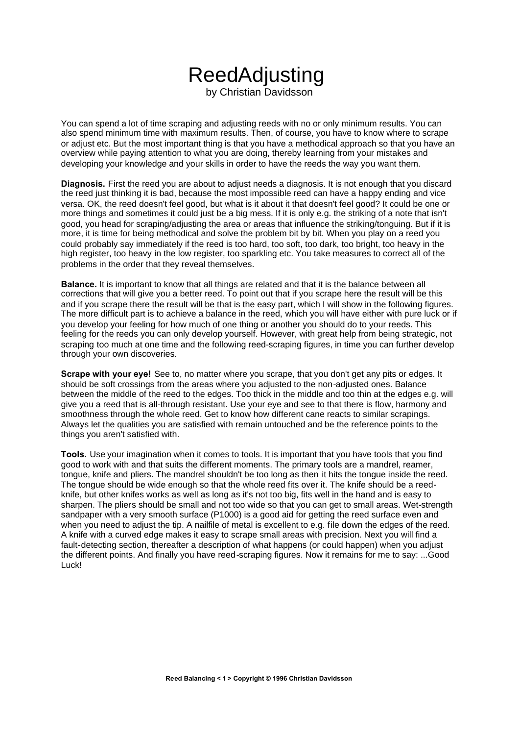## ReedAdjusting by Christian Davidsson

You can spend a lot of time scraping and adjusting reeds with no or only minimum results. You can also spend minimum time with maximum results. Then, of course, you have to know where to scrape or adjust etc. But the most important thing is that you have a methodical approach so that you have an overview while paying attention to what you are doing, thereby learning from your mistakes and developing your knowledge and your skills in order to have the reeds the way you want them.

**Diagnosis.** First the reed you are about to adjust needs a diagnosis. It is not enough that you discard the reed just thinking it is bad, because the most impossible reed can have a happy ending and vice versa. OK, the reed doesn't feel good, but what is it about it that doesn't feel good? It could be one or more things and sometimes it could just be a big mess. If it is only e.g. the striking of a note that isn't good, you head for scraping/adjusting the area or areas that influence the striking/tonguing. But if it is more, it is time for being methodical and solve the problem bit by bit. When you play on a reed you could probably say immediately if the reed is too hard, too soft, too dark, too bright, too heavy in the high register, too heavy in the low register, too sparkling etc. You take measures to correct all of the problems in the order that they reveal themselves.

**Balance.** It is important to know that all things are related and that it is the balance between all corrections that will give you a better reed. To point out that if you scrape here the result will be this and if you scrape there the result will be that is the easy part, which I will show in the following figures. The more difficult part is to achieve a balance in the reed, which you will have either with pure luck or if you develop your feeling for how much of one thing or another you should do to your reeds. This feeling for the reeds you can only develop yourself. However, with great help from being strategic, not scraping too much at one time and the following reed-scraping figures, in time you can further develop through your own discoveries.

**Scrape with your eye!** See to, no matter where you scrape, that you don't get any pits or edges. It should be soft crossings from the areas where you adjusted to the non-adjusted ones. Balance between the middle of the reed to the edges. Too thick in the middle and too thin at the edges e.g. will give you a reed that is all-through resistant. Use your eye and see to that there is flow, harmony and smoothness through the whole reed. Get to know how different cane reacts to similar scrapings. Always let the qualities you are satisfied with remain untouched and be the reference points to the things you aren't satisfied with.

**Tools.** Use your imagination when it comes to tools. It is important that you have tools that you find good to work with and that suits the different moments. The primary tools are a mandrel, reamer, tongue, knife and pliers. The mandrel shouldn't be too long as then it hits the tongue inside the reed. The tongue should be wide enough so that the whole reed fits over it. The knife should be a reedknife, but other knifes works as well as long as it's not too big, fits well in the hand and is easy to sharpen. The pliers should be small and not too wide so that you can get to small areas. Wet-strength sandpaper with a very smooth surface (P1000) is a good aid for getting the reed surface even and when you need to adjust the tip. A nailfile of metal is excellent to e.g. file down the edges of the reed. A knife with a curved edge makes it easy to scrape small areas with precision. Next you will find a fault-detecting section, thereafter a description of what happens (or could happen) when you adjust the different points. And finally you have reed-scraping figures. Now it remains for me to say: ...Good Luck!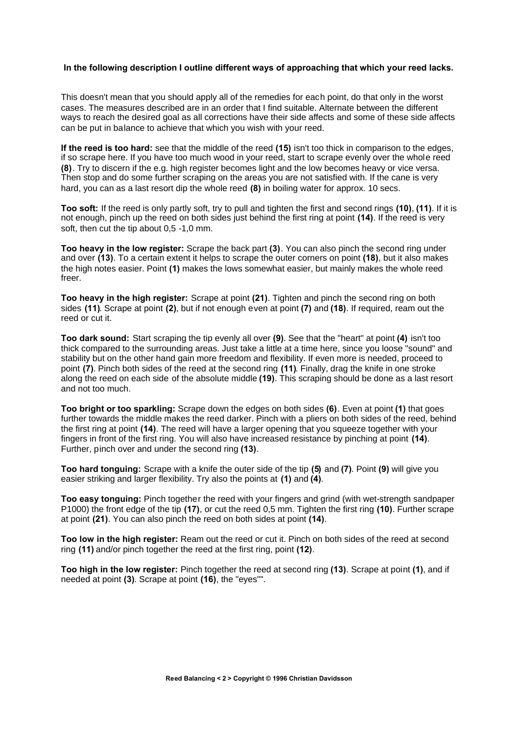## **In the following description I outline different ways of approaching that which your reed lacks.**

This doesn't mean that you should apply all of the remedies for each point, do that only in the worst cases. The measures described are in an order that I find suitable. Alternate between the different ways to reach the desired goal as all corrections have their side affects and some of these side affects can be put in balance to achieve that which you wish with your reed.

**If the reed is too hard:** see that the middle of the reed **(15)** isn't too thick in comparison to the edges, if so scrape here. If you have too much wood in your reed, start to scrape evenly over the whole reed **(8)**. Try to discern if the e.g. high register becomes light and the low becomes heavy or vice versa. Then stop and do some further scraping on the areas you are not satisfied with. If the cane is very hard, you can as a last resort dip the whole reed **(8)** in boiling water for approx. 10 secs.

**Too soft:** If the reed is only partly soft, try to pull and tighten the first and second rings **(10)**, **(11)**. If it is not enough, pinch up the reed on both sides just behind the first ring at point **(14)**. If the reed is very soft, then cut the tip about 0,5 -1,0 mm.

**Too heavy in the low register:** Scrape the back part **(3)**. You can also pinch the second ring under and over **(13)**. To a certain extent it helps to scrape the outer corners on point **(18)**, but it also makes the high notes easier. Point **(1)** makes the lows somewhat easier, but mainly makes the whole reed freer.

**Too heavy in the high register:** Scrape at point **(21)**. Tighten and pinch the second ring on both sides **(11)**. Scrape at point **(2)**, but if not enough even at point **(7)** and **(18)**. If required, ream out the reed or cut it.

**Too dark sound:** Start scraping the tip evenly all over **(9)**. See that the "heart" at point **(4)** isn't too thick compared to the surrounding areas. Just take a little at a time here, since you loose "sound" and stability but on the other hand gain more freedom and flexibility. If even more is needed, proceed to point **(7)**. Pinch both sides of the reed at the second ring **(11)**. Finally, drag the knife in one stroke along the reed on each side of the absolute middle **(19)**. This scraping should be done as a last resort and not too much.

**Too bright or too sparkling:** Scrape down the edges on both sides **(6)**. Even at point **(1)** that goes further towards the middle makes the reed darker. Pinch with a pliers on both sides of the reed, behind the first ring at point **(14)**. The reed will have a larger opening that you squeeze together with your fingers in front of the first ring. You will also have increased resistance by pinching at point **(14)**. Further, pinch over and under the second ring **(13)**.

**Too hard tonguing:** Scrape with a knife the outer side of the tip **(5)** and **(7)**. Point **(9)** will give you easier striking and larger flexibility. Try also the points at **(1)** and **(4)**.

**Too easy tonguing:** Pinch together the reed with your fingers and grind (with wet-strength sandpaper P1000) the front edge of the tip **(17)**, or cut the reed 0,5 mm. Tighten the first ring **(10)**. Further scrape at point **(21)**. You can also pinch the reed on both sides at point **(14)**.

**Too low in the high register:** Ream out the reed or cut it. Pinch on both sides of the reed at second ring **(11)** and/or pinch together the reed at the first ring, point **(12)**.

**Too high in the low register:** Pinch together the reed at second ring **(13)**. Scrape at point **(1)**, and if needed at point **(3)**. Scrape at point **(16)**, the "eyes"".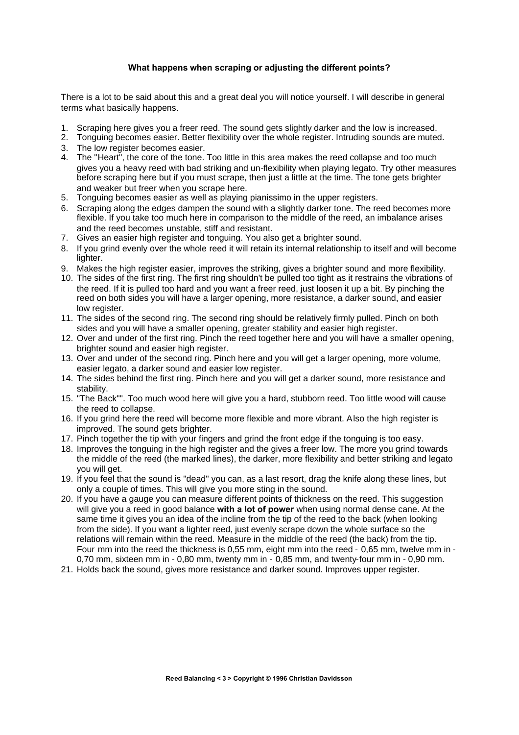## **What happens when scraping or adjusting the different points?**

There is a lot to be said about this and a great deal you will notice yourself. I will describe in general terms what basically happens.

- 1. Scraping here gives you a freer reed. The sound gets slightly darker and the low is increased.
- 2. Tonguing becomes easier. Better flexibility over the whole register. Intruding sounds are muted.
- 3. The low register becomes easier.
- 4. The "Heart", the core of the tone. Too little in this area makes the reed collapse and too much gives you a heavy reed with bad striking and un-flexibility when playing legato. Try other measures before scraping here but if you must scrape, then just a little at the time. The tone gets brighter and weaker but freer when you scrape here.
- 5. Tonguing becomes easier as well as playing pianissimo in the upper registers.
- 6. Scraping along the edges dampen the sound with a slightly darker tone. The reed becomes more flexible. If you take too much here in comparison to the middle of the reed, an imbalance arises and the reed becomes unstable, stiff and resistant.
- 7. Gives an easier high register and tonguing. You also get a brighter sound.
- 8. If you grind evenly over the whole reed it will retain its internal relationship to itself and will become lighter.
- 9. Makes the high register easier, improves the striking, gives a brighter sound and more flexibility.
- 10. The sides of the first ring. The first ring shouldn't be pulled too tight as it restrains the vibrations of the reed. If it is pulled too hard and you want a freer reed, just loosen it up a bit. By pinching the reed on both sides you will have a larger opening, more resistance, a darker sound, and easier low register.
- 11. The sides of the second ring. The second ring should be relatively firmly pulled. Pinch on both sides and you will have a smaller opening, greater stability and easier high register.
- 12. Over and under of the first ring. Pinch the reed together here and you will have a smaller opening, brighter sound and easier high register.
- 13. Over and under of the second ring. Pinch here and you will get a larger opening, more volume, easier legato, a darker sound and easier low register.
- 14. The sides behind the first ring. Pinch here and you will get a darker sound, more resistance and stability.
- 15. "The Back"". Too much wood here will give you a hard, stubborn reed. Too little wood will cause the reed to collapse.
- 16. If you grind here the reed will become more flexible and more vibrant. Also the high register is improved. The sound gets brighter.
- 17. Pinch together the tip with your fingers and grind the front edge if the tonguing is too easy.
- 18. Improves the tonguing in the high register and the gives a freer low. The more you grind towards the middle of the reed (the marked lines), the darker, more flexibility and better striking and legato you will get.
- 19. If you feel that the sound is "dead" you can, as a last resort, drag the knife along these lines, but only a couple of times. This will give you more sting in the sound.
- 20. If you have a gauge you can measure different points of thickness on the reed. This suggestion will give you a reed in good balance **with a lot of power** when using normal dense cane. At the same time it gives you an idea of the incline from the tip of the reed to the back (when looking from the side). If you want a lighter reed, just evenly scrape down the whole surface so the relations will remain within the reed. Measure in the middle of the reed (the back) from the tip. Four mm into the reed the thickness is 0,55 mm, eight mm into the reed - 0,65 mm, twelve mm in - 0,70 mm, sixteen mm in - 0,80 mm, twenty mm in - 0,85 mm, and twenty-four mm in - 0,90 mm.
- 21. Holds back the sound, gives more resistance and darker sound. Improves upper register.